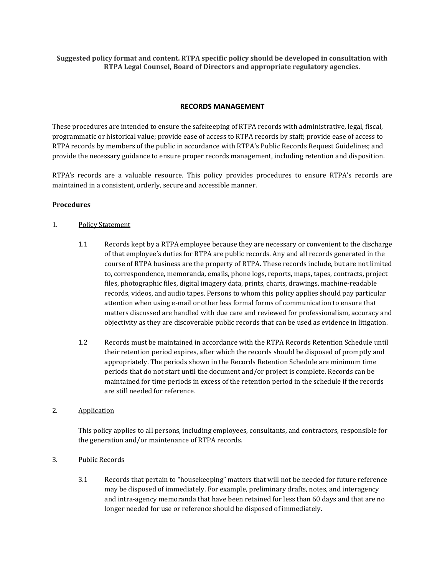**Suggested policy format and content. RTPA specific policy should be developed in consultation with RTPA Legal Counsel, Board of Directors and appropriate regulatory agencies.** 

#### **RECORDS MANAGEMENT**

These procedures are intended to ensure the safekeeping of RTPA records with administrative, legal, fiscal, programmatic or historical value; provide ease of access to RTPA records by staff; provide ease of access to RTPA records by members of the public in accordance with RTPA's Public Records Request Guidelines; and provide the necessary guidance to ensure proper records management, including retention and disposition.

RTPA's records are a valuable resource. This policy provides procedures to ensure RTPA's records are maintained in a consistent, orderly, secure and accessible manner.

#### **Procedures**

#### 1. Policy Statement

- 1.1 Records kept by a RTPA employee because they are necessary or convenient to the discharge of that employee's duties for RTPA are public records. Any and all records generated in the course of RTPA business are the property of RTPA. These records include, but are not limited to, correspondence, memoranda, emails, phone logs, reports, maps, tapes, contracts, project files, photographic files, digital imagery data, prints, charts, drawings, machine-readable records, videos, and audio tapes. Persons to whom this policy applies should pay particular attention when using e-mail or other less formal forms of communication to ensure that matters discussed are handled with due care and reviewed for professionalism, accuracy and objectivity as they are discoverable public records that can be used as evidence in litigation.
- 1.2 Records must be maintained in accordance with the RTPA Records Retention Schedule until their retention period expires, after which the records should be disposed of promptly and appropriately. The periods shown in the Records Retention Schedule are minimum time periods that do not start until the document and/or project is complete. Records can be maintained for time periods in excess of the retention period in the schedule if the records are still needed for reference.

# 2. Application

This policy applies to all persons, including employees, consultants, and contractors, responsible for the generation and/or maintenance of RTPA records.

### 3. Public Records

3.1 Records that pertain to "housekeeping" matters that will not be needed for future reference may be disposed of immediately. For example, preliminary drafts, notes, and interagency and intra-agency memoranda that have been retained for less than 60 days and that are no longer needed for use or reference should be disposed of immediately.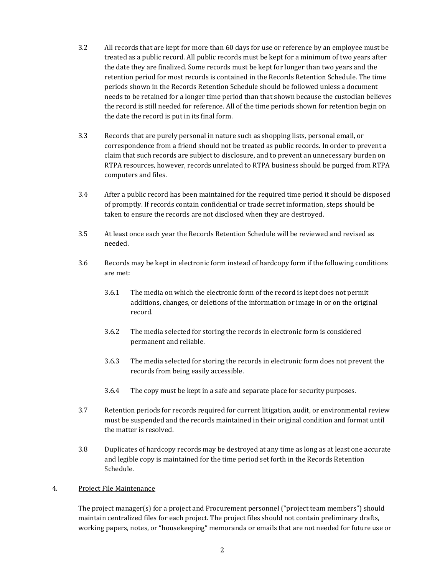- 3.2 All records that are kept for more than 60 days for use or reference by an employee must be treated as a public record. All public records must be kept for a minimum of two years after the date they are finalized. Some records must be kept for longer than two years and the retention period for most records is contained in the Records Retention Schedule. The time periods shown in the Records Retention Schedule should be followed unless a document needs to be retained for a longer time period than that shown because the custodian believes the record is still needed for reference. All of the time periods shown for retention begin on the date the record is put in its final form.
- 3.3 Records that are purely personal in nature such as shopping lists, personal email, or correspondence from a friend should not be treated as public records. In order to prevent a claim that such records are subject to disclosure, and to prevent an unnecessary burden on RTPA resources, however, records unrelated to RTPA business should be purged from RTPA computers and files.
- 3.4 After a public record has been maintained for the required time period it should be disposed of promptly. If records contain confidential or trade secret information, steps should be taken to ensure the records are not disclosed when they are destroyed.
- 3.5 At least once each year the Records Retention Schedule will be reviewed and revised as needed.
- 3.6 Records may be kept in electronic form instead of hardcopy form if the following conditions are met:
	- 3.6.1 The media on which the electronic form of the record is kept does not permit additions, changes, or deletions of the information or image in or on the original record.
	- 3.6.2 The media selected for storing the records in electronic form is considered permanent and reliable.
	- 3.6.3 The media selected for storing the records in electronic form does not prevent the records from being easily accessible.
	- 3.6.4 The copy must be kept in a safe and separate place for security purposes.
- 3.7 Retention periods for records required for current litigation, audit, or environmental review must be suspended and the records maintained in their original condition and format until the matter is resolved.
- 3.8 Duplicates of hardcopy records may be destroyed at any time as long as at least one accurate and legible copy is maintained for the time period set forth in the Records Retention Schedule.

### 4. Project File Maintenance

The project manager(s) for a project and Procurement personnel ("project team members") should maintain centralized files for each project. The project files should not contain preliminary drafts, working papers, notes, or "housekeeping" memoranda or emails that are not needed for future use or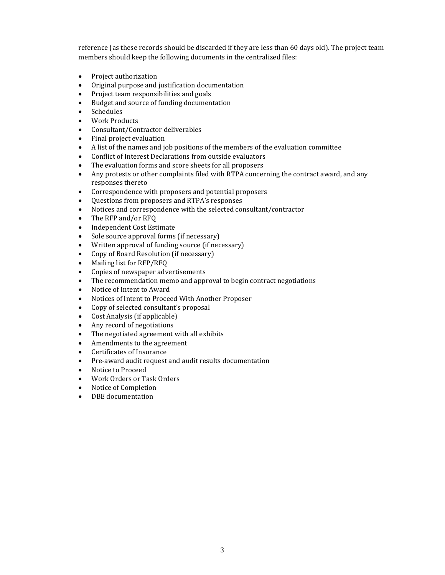reference (as these records should be discarded if they are less than 60 days old). The project team members should keep the following documents in the centralized files:

- Project authorization
- Original purpose and justification documentation
- Project team responsibilities and goals
- Budget and source of funding documentation
- Schedules
- Work Products
- Consultant/Contractor deliverables
- Final project evaluation
- A list of the names and job positions of the members of the evaluation committee
- Conflict of Interest Declarations from outside evaluators
- The evaluation forms and score sheets for all proposers
- Any protests or other complaints filed with RTPA concerning the contract award, and any responses thereto
- Correspondence with proposers and potential proposers
- Questions from proposers and RTPA's responses
- Notices and correspondence with the selected consultant/contractor
- The RFP and/or RFO
- Independent Cost Estimate
- Sole source approval forms (if necessary)
- Written approval of funding source (if necessary)
- Copy of Board Resolution (if necessary)
- Mailing list for RFP/RFQ
- Copies of newspaper advertisements
- The recommendation memo and approval to begin contract negotiations
- Notice of Intent to Award
- Notices of Intent to Proceed With Another Proposer
- Copy of selected consultant's proposal
- Cost Analysis (if applicable)
- Any record of negotiations
- The negotiated agreement with all exhibits
- Amendments to the agreement
- Certificates of Insurance
- Pre-award audit request and audit results documentation
- Notice to Proceed
- Work Orders or Task Orders
- Notice of Completion
- DBE documentation